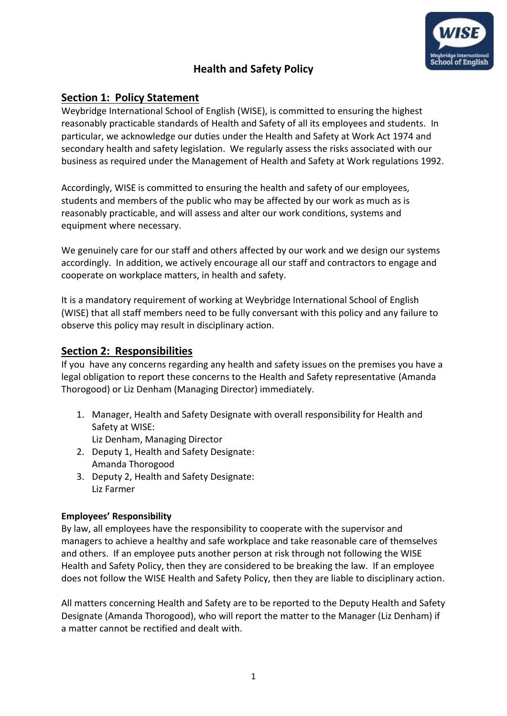

# **Health and Safety Policy**

# **Section 1: Policy Statement**

Weybridge International School of English (WISE), is committed to ensuring the highest reasonably practicable standards of Health and Safety of all its employees and students. In particular, we acknowledge our duties under the Health and Safety at Work Act 1974 and secondary health and safety legislation. We regularly assess the risks associated with our business as required under the Management of Health and Safety at Work regulations 1992.

Accordingly, WISE is committed to ensuring the health and safety of our employees, students and members of the public who may be affected by our work as much as is reasonably practicable, and will assess and alter our work conditions, systems and equipment where necessary.

We genuinely care for our staff and others affected by our work and we design our systems accordingly. In addition, we actively encourage all our staff and contractors to engage and cooperate on workplace matters, in health and safety.

It is a mandatory requirement of working at Weybridge International School of English (WISE) that all staff members need to be fully conversant with this policy and any failure to observe this policy may result in disciplinary action.

#### **Section 2: Responsibilities**

If you have any concerns regarding any health and safety issues on the premises you have a legal obligation to report these concerns to the Health and Safety representative (Amanda Thorogood) or Liz Denham (Managing Director) immediately.

1. Manager, Health and Safety Designate with overall responsibility for Health and Safety at WISE:

Liz Denham, Managing Director

- 2. Deputy 1, Health and Safety Designate: Amanda Thorogood
- 3. Deputy 2, Health and Safety Designate: Liz Farmer

#### **Employees' Responsibility**

By law, all employees have the responsibility to cooperate with the supervisor and managers to achieve a healthy and safe workplace and take reasonable care of themselves and others. If an employee puts another person at risk through not following the WISE Health and Safety Policy, then they are considered to be breaking the law. If an employee does not follow the WISE Health and Safety Policy, then they are liable to disciplinary action.

All matters concerning Health and Safety are to be reported to the Deputy Health and Safety Designate (Amanda Thorogood), who will report the matter to the Manager (Liz Denham) if a matter cannot be rectified and dealt with.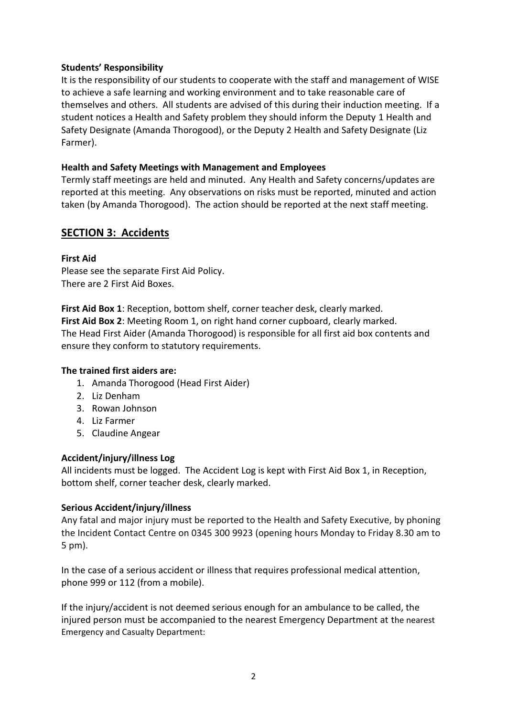#### **Students' Responsibility**

It is the responsibility of our students to cooperate with the staff and management of WISE to achieve a safe learning and working environment and to take reasonable care of themselves and others. All students are advised of this during their induction meeting. If a student notices a Health and Safety problem they should inform the Deputy 1 Health and Safety Designate (Amanda Thorogood), or the Deputy 2 Health and Safety Designate (Liz Farmer).

#### **Health and Safety Meetings with Management and Employees**

Termly staff meetings are held and minuted. Any Health and Safety concerns/updates are reported at this meeting. Any observations on risks must be reported, minuted and action taken (by Amanda Thorogood). The action should be reported at the next staff meeting.

## **SECTION 3: Accidents**

#### **First Aid**

Please see the separate First Aid Policy. There are 2 First Aid Boxes.

**First Aid Box 1**: Reception, bottom shelf, corner teacher desk, clearly marked. **First Aid Box 2**: Meeting Room 1, on right hand corner cupboard, clearly marked. The Head First Aider (Amanda Thorogood) is responsible for all first aid box contents and ensure they conform to statutory requirements.

#### **The trained first aiders are:**

- 1. Amanda Thorogood (Head First Aider)
- 2. Liz Denham
- 3. Rowan Johnson
- 4. Liz Farmer
- 5. Claudine Angear

#### **Accident/injury/illness Log**

All incidents must be logged. The Accident Log is kept with First Aid Box 1, in Reception, bottom shelf, corner teacher desk, clearly marked.

#### **Serious Accident/injury/illness**

Any fatal and major injury must be reported to the Health and Safety Executive, by phoning the Incident Contact Centre on 0345 300 9923 (opening hours Monday to Friday 8.30 am to 5 pm).

In the case of a serious accident or illness that requires professional medical attention, phone 999 or 112 (from a mobile).

If the injury/accident is not deemed serious enough for an ambulance to be called, the injured person must be accompanied to the nearest Emergency Department at the nearest Emergency and Casualty Department: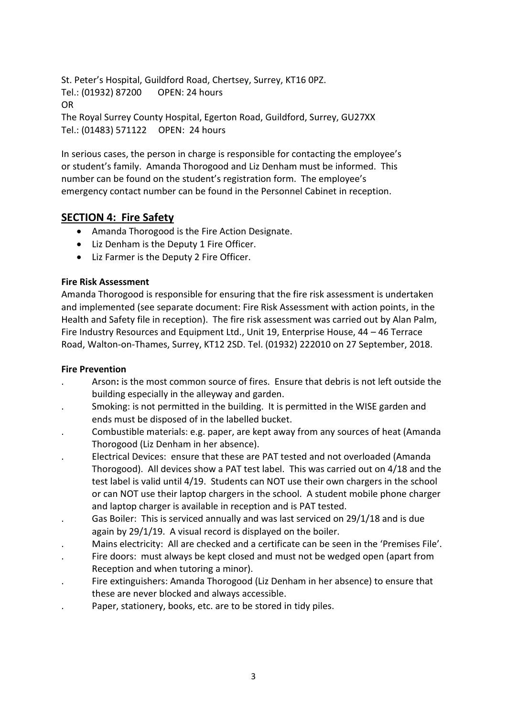St. Peter's Hospital, Guildford Road, Chertsey, Surrey, KT16 0PZ. Tel.: (01932) 87200 OPEN: 24 hours OR The Royal Surrey County Hospital, Egerton Road, Guildford, Surrey, GU27XX Tel.: (01483) 571122 OPEN: 24 hours

In serious cases, the person in charge is responsible for contacting the employee's or student's family. Amanda Thorogood and Liz Denham must be informed. This number can be found on the student's registration form. The employee's emergency contact number can be found in the Personnel Cabinet in reception.

# **SECTION 4: Fire Safety**

- Amanda Thorogood is the Fire Action Designate.
- Liz Denham is the Deputy 1 Fire Officer.
- Liz Farmer is the Deputy 2 Fire Officer.

#### **Fire Risk Assessment**

Amanda Thorogood is responsible for ensuring that the fire risk assessment is undertaken and implemented (see separate document: Fire Risk Assessment with action points, in the Health and Safety file in reception). The fire risk assessment was carried out by Alan Palm, Fire Industry Resources and Equipment Ltd., Unit 19, Enterprise House, 44 – 46 Terrace Road, Walton-on-Thames, Surrey, KT12 2SD. Tel. (01932) 222010 on 27 September, 2018.

#### **Fire Prevention**

- . Arson**:** is the most common source of fires. Ensure that debris is not left outside the building especially in the alleyway and garden.
- . Smoking: is not permitted in the building. It is permitted in the WISE garden and ends must be disposed of in the labelled bucket.
- . Combustible materials: e.g. paper, are kept away from any sources of heat (Amanda Thorogood (Liz Denham in her absence).
- . Electrical Devices: ensure that these are PAT tested and not overloaded (Amanda Thorogood). All devices show a PAT test label. This was carried out on 4/18 and the test label is valid until 4/19. Students can NOT use their own chargers in the school or can NOT use their laptop chargers in the school. A student mobile phone charger and laptop charger is available in reception and is PAT tested.
- . Gas Boiler: This is serviced annually and was last serviced on 29/1/18 and is due again by 29/1/19. A visual record is displayed on the boiler.
- . Mains electricity: All are checked and a certificate can be seen in the 'Premises File'.
- . Fire doors: must always be kept closed and must not be wedged open (apart from Reception and when tutoring a minor).
- . Fire extinguishers: Amanda Thorogood (Liz Denham in her absence) to ensure that these are never blocked and always accessible.
- . Paper, stationery, books, etc. are to be stored in tidy piles.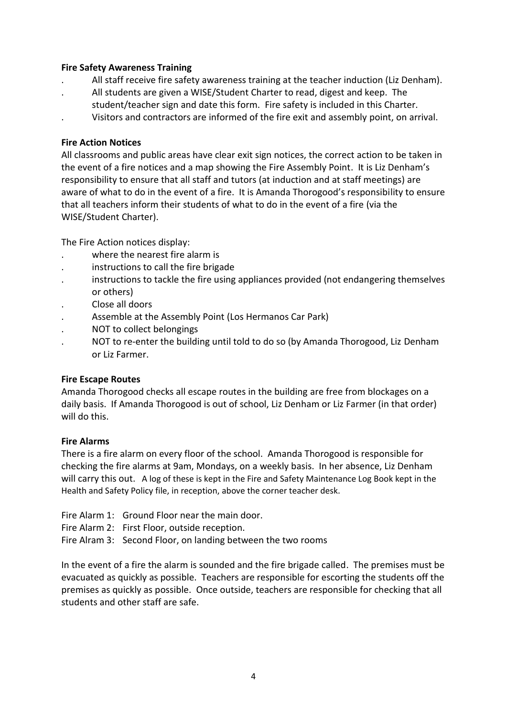#### **Fire Safety Awareness Training**

- . All staff receive fire safety awareness training at the teacher induction (Liz Denham).
- . All students are given a WISE/Student Charter to read, digest and keep. The
- student/teacher sign and date this form. Fire safety is included in this Charter.
	- . Visitors and contractors are informed of the fire exit and assembly point, on arrival.

#### **Fire Action Notices**

All classrooms and public areas have clear exit sign notices, the correct action to be taken in the event of a fire notices and a map showing the Fire Assembly Point. It is Liz Denham's responsibility to ensure that all staff and tutors (at induction and at staff meetings) are aware of what to do in the event of a fire. It is Amanda Thorogood's responsibility to ensure that all teachers inform their students of what to do in the event of a fire (via the WISE/Student Charter).

The Fire Action notices display:

- where the nearest fire alarm is
- . instructions to call the fire brigade
- . instructions to tackle the fire using appliances provided (not endangering themselves or others)
- . Close all doors
- . Assemble at the Assembly Point (Los Hermanos Car Park)
- . NOT to collect belongings
- . NOT to re-enter the building until told to do so (by Amanda Thorogood, Liz Denham or Liz Farmer.

#### **Fire Escape Routes**

Amanda Thorogood checks all escape routes in the building are free from blockages on a daily basis. If Amanda Thorogood is out of school, Liz Denham or Liz Farmer (in that order) will do this.

#### **Fire Alarms**

There is a fire alarm on every floor of the school. Amanda Thorogood is responsible for checking the fire alarms at 9am, Mondays, on a weekly basis. In her absence, Liz Denham will carry this out. A log of these is kept in the Fire and Safety Maintenance Log Book kept in the Health and Safety Policy file, in reception, above the corner teacher desk.

- Fire Alarm 1: Ground Floor near the main door.
- Fire Alarm 2: First Floor, outside reception.
- Fire Alram 3: Second Floor, on landing between the two rooms

In the event of a fire the alarm is sounded and the fire brigade called. The premises must be evacuated as quickly as possible. Teachers are responsible for escorting the students off the premises as quickly as possible. Once outside, teachers are responsible for checking that all students and other staff are safe.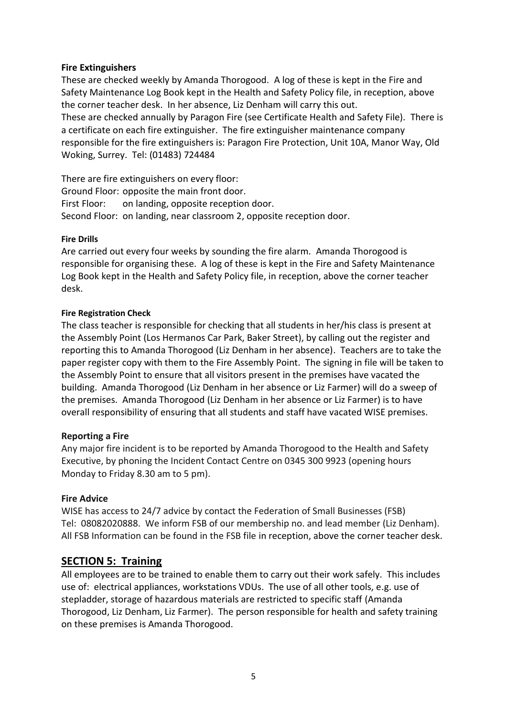#### **Fire Extinguishers**

These are checked weekly by Amanda Thorogood. A log of these is kept in the Fire and Safety Maintenance Log Book kept in the Health and Safety Policy file, in reception, above the corner teacher desk. In her absence, Liz Denham will carry this out. These are checked annually by Paragon Fire (see Certificate Health and Safety File). There is a certificate on each fire extinguisher. The fire extinguisher maintenance company responsible for the fire extinguishers is: Paragon Fire Protection, Unit 10A, Manor Way, Old Woking, Surrey. Tel: (01483) 724484

There are fire extinguishers on every floor: Ground Floor: opposite the main front door. First Floor: on landing, opposite reception door. Second Floor: on landing, near classroom 2, opposite reception door.

#### **Fire Drills**

Are carried out every four weeks by sounding the fire alarm. Amanda Thorogood is responsible for organising these. A log of these is kept in the Fire and Safety Maintenance Log Book kept in the Health and Safety Policy file, in reception, above the corner teacher desk.

#### **Fire Registration Check**

The class teacher is responsible for checking that all students in her/his class is present at the Assembly Point (Los Hermanos Car Park, Baker Street), by calling out the register and reporting this to Amanda Thorogood (Liz Denham in her absence). Teachers are to take the paper register copy with them to the Fire Assembly Point. The signing in file will be taken to the Assembly Point to ensure that all visitors present in the premises have vacated the building. Amanda Thorogood (Liz Denham in her absence or Liz Farmer) will do a sweep of the premises. Amanda Thorogood (Liz Denham in her absence or Liz Farmer) is to have overall responsibility of ensuring that all students and staff have vacated WISE premises.

#### **Reporting a Fire**

Any major fire incident is to be reported by Amanda Thorogood to the Health and Safety Executive, by phoning the Incident Contact Centre on 0345 300 9923 (opening hours Monday to Friday 8.30 am to 5 pm).

#### **Fire Advice**

WISE has access to 24/7 advice by contact the Federation of Small Businesses (FSB) Tel: 08082020888. We inform FSB of our membership no. and lead member (Liz Denham). All FSB Information can be found in the FSB file in reception, above the corner teacher desk.

#### **SECTION 5: Training**

All employees are to be trained to enable them to carry out their work safely. This includes use of: electrical appliances, workstations VDUs. The use of all other tools, e.g. use of stepladder, storage of hazardous materials are restricted to specific staff (Amanda Thorogood, Liz Denham, Liz Farmer). The person responsible for health and safety training on these premises is Amanda Thorogood.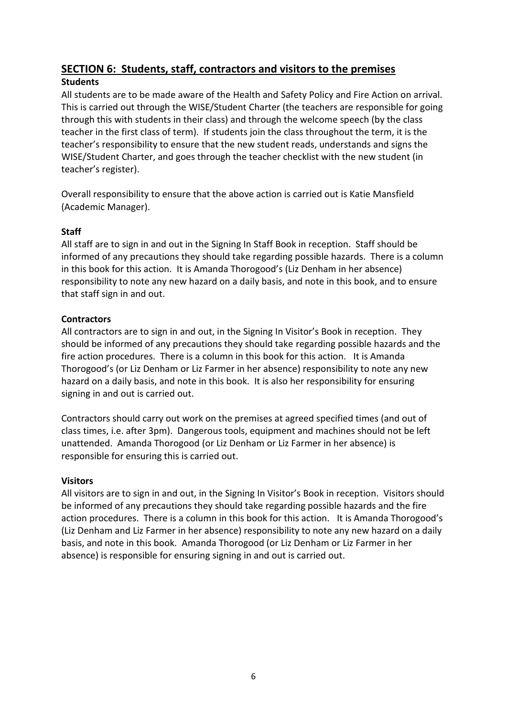# **SECTION 6: Students, staff, contractors and visitors to the premises**

#### **Students**

All students are to be made aware of the Health and Safety Policy and Fire Action on arrival. This is carried out through the WISE/Student Charter (the teachers are responsible for going through this with students in their class) and through the welcome speech (by the class teacher in the first class of term). If students join the class throughout the term, it is the teacher's responsibility to ensure that the new student reads, understands and signs the WISE/Student Charter, and goes through the teacher checklist with the new student (in teacher's register).

Overall responsibility to ensure that the above action is carried out is Katie Mansfield (Academic Manager).

#### **Staff**

All staff are to sign in and out in the Signing In Staff Book in reception. Staff should be informed of any precautions they should take regarding possible hazards. There is a column in this book for this action. It is Amanda Thorogood's (Liz Denham in her absence) responsibility to note any new hazard on a daily basis, and note in this book, and to ensure that staff sign in and out.

#### **Contractors**

All contractors are to sign in and out, in the Signing In Visitor's Book in reception. They should be informed of any precautions they should take regarding possible hazards and the fire action procedures. There is a column in this book for this action. It is Amanda Thorogood's (or Liz Denham or Liz Farmer in her absence) responsibility to note any new hazard on a daily basis, and note in this book. It is also her responsibility for ensuring signing in and out is carried out.

Contractors should carry out work on the premises at agreed specified times (and out of class times, i.e. after 3pm). Dangerous tools, equipment and machines should not be left unattended. Amanda Thorogood (or Liz Denham or Liz Farmer in her absence) is responsible for ensuring this is carried out.

#### **Visitors**

All visitors are to sign in and out, in the Signing In Visitor's Book in reception. Visitors should be informed of any precautions they should take regarding possible hazards and the fire action procedures. There is a column in this book for this action. It is Amanda Thorogood's (Liz Denham and Liz Farmer in her absence) responsibility to note any new hazard on a daily basis, and note in this book. Amanda Thorogood (or Liz Denham or Liz Farmer in her absence) is responsible for ensuring signing in and out is carried out.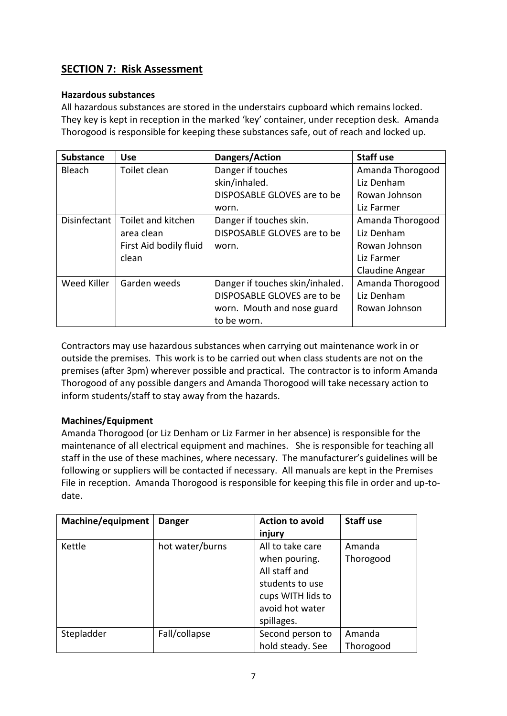# **SECTION 7: Risk Assessment**

#### **Hazardous substances**

All hazardous substances are stored in the understairs cupboard which remains locked. They key is kept in reception in the marked 'key' container, under reception desk. Amanda Thorogood is responsible for keeping these substances safe, out of reach and locked up.

| <b>Substance</b> | <b>Use</b>             | Dangers/Action                  | <b>Staff use</b> |
|------------------|------------------------|---------------------------------|------------------|
| <b>Bleach</b>    | Toilet clean           | Danger if touches               | Amanda Thorogood |
|                  |                        | skin/inhaled.                   | Liz Denham       |
|                  |                        | DISPOSABLE GLOVES are to be     | Rowan Johnson    |
|                  |                        | worn.                           | Liz Farmer       |
| Disinfectant     | Toilet and kitchen     | Danger if touches skin.         | Amanda Thorogood |
|                  | area clean             | DISPOSABLE GLOVES are to be     | Liz Denham       |
|                  | First Aid bodily fluid | worn.                           | Rowan Johnson    |
|                  | clean                  |                                 | Liz Farmer       |
|                  |                        |                                 | Claudine Angear  |
| Weed Killer      | Garden weeds           | Danger if touches skin/inhaled. | Amanda Thorogood |
|                  |                        | DISPOSABLE GLOVES are to be     | Liz Denham       |
|                  |                        | worn. Mouth and nose guard      | Rowan Johnson    |
|                  |                        | to be worn.                     |                  |

Contractors may use hazardous substances when carrying out maintenance work in or outside the premises. This work is to be carried out when class students are not on the premises (after 3pm) wherever possible and practical. The contractor is to inform Amanda Thorogood of any possible dangers and Amanda Thorogood will take necessary action to inform students/staff to stay away from the hazards.

#### **Machines/Equipment**

Amanda Thorogood (or Liz Denham or Liz Farmer in her absence) is responsible for the maintenance of all electrical equipment and machines. She is responsible for teaching all staff in the use of these machines, where necessary. The manufacturer's guidelines will be following or suppliers will be contacted if necessary. All manuals are kept in the Premises File in reception. Amanda Thorogood is responsible for keeping this file in order and up-todate.

| Machine/equipment | <b>Danger</b>   | <b>Action to avoid</b> | <b>Staff use</b> |
|-------------------|-----------------|------------------------|------------------|
|                   |                 | injury                 |                  |
| Kettle            | hot water/burns | All to take care       | Amanda           |
|                   |                 | when pouring.          | Thorogood        |
|                   |                 | All staff and          |                  |
|                   |                 | students to use        |                  |
|                   |                 | cups WITH lids to      |                  |
|                   |                 | avoid hot water        |                  |
|                   |                 | spillages.             |                  |
| Stepladder        | Fall/collapse   | Second person to       | Amanda           |
|                   |                 | hold steady. See       | Thorogood        |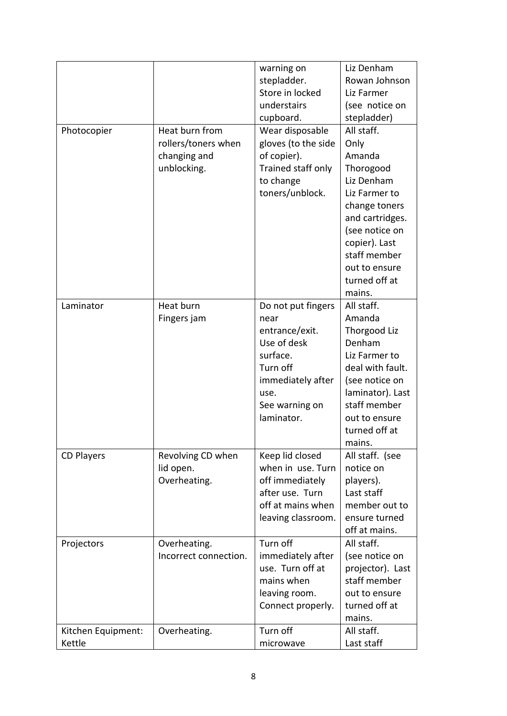|                    |                           | warning on                           | Liz Denham                     |
|--------------------|---------------------------|--------------------------------------|--------------------------------|
|                    |                           | stepladder.                          | Rowan Johnson                  |
|                    |                           | Store in locked                      | Liz Farmer                     |
|                    |                           | understairs                          | (see notice on                 |
|                    |                           | cupboard.                            | stepladder)                    |
| Photocopier        | Heat burn from            | Wear disposable                      | All staff.                     |
|                    | rollers/toners when       | gloves (to the side                  | Only                           |
|                    | changing and              | of copier).                          | Amanda                         |
|                    | unblocking.               | Trained staff only                   | Thorogood                      |
|                    |                           | to change                            | Liz Denham                     |
|                    |                           | toners/unblock.                      | Liz Farmer to                  |
|                    |                           |                                      | change toners                  |
|                    |                           |                                      | and cartridges.                |
|                    |                           |                                      | (see notice on                 |
|                    |                           |                                      | copier). Last                  |
|                    |                           |                                      | staff member                   |
|                    |                           |                                      | out to ensure                  |
|                    |                           |                                      | turned off at                  |
|                    |                           |                                      | mains.                         |
| Laminator          | Heat burn                 | Do not put fingers                   | All staff.                     |
|                    | Fingers jam               | near                                 | Amanda                         |
|                    |                           | entrance/exit.                       | Thorgood Liz                   |
|                    |                           | Use of desk                          | Denham                         |
|                    |                           | surface.                             | Liz Farmer to                  |
|                    |                           | Turn off                             | deal with fault.               |
|                    |                           | immediately after                    | (see notice on                 |
|                    |                           | use.                                 | laminator). Last               |
|                    |                           | See warning on<br>laminator.         | staff member                   |
|                    |                           |                                      | out to ensure<br>turned off at |
|                    |                           |                                      | mains.                         |
|                    | Revolving CD when         |                                      |                                |
| <b>CD Players</b>  |                           | Keep lid closed<br>when in use. Turn | All staff. (see<br>notice on   |
|                    | lid open.<br>Overheating. |                                      | players).                      |
|                    |                           | off immediately<br>after use. Turn   | Last staff                     |
|                    |                           | off at mains when                    | member out to                  |
|                    |                           | leaving classroom.                   | ensure turned                  |
|                    |                           |                                      | off at mains.                  |
| Projectors         | Overheating.              | Turn off                             | All staff.                     |
|                    | Incorrect connection.     | immediately after                    | (see notice on                 |
|                    |                           | use. Turn off at                     | projector). Last               |
|                    |                           | mains when                           | staff member                   |
|                    |                           | leaving room.                        | out to ensure                  |
|                    |                           | Connect properly.                    | turned off at                  |
|                    |                           |                                      | mains.                         |
| Kitchen Equipment: | Overheating.              | Turn off                             | All staff.                     |
| Kettle             |                           | microwave                            | Last staff                     |
|                    |                           |                                      |                                |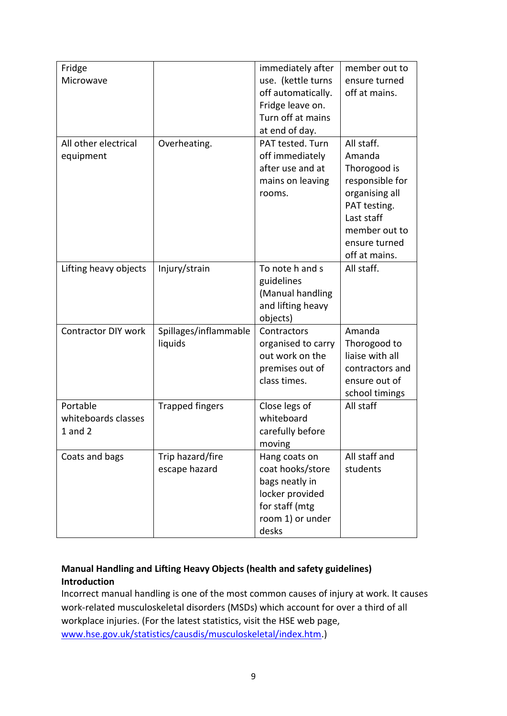| Fridge<br>Microwave                            |                                   | immediately after<br>use. (kettle turns<br>off automatically.<br>Fridge leave on.<br>Turn off at mains<br>at end of day. | member out to<br>ensure turned<br>off at mains.                                                                                                            |
|------------------------------------------------|-----------------------------------|--------------------------------------------------------------------------------------------------------------------------|------------------------------------------------------------------------------------------------------------------------------------------------------------|
| All other electrical<br>equipment              | Overheating.                      | PAT tested. Turn<br>off immediately<br>after use and at<br>mains on leaving<br>rooms.                                    | All staff.<br>Amanda<br>Thorogood is<br>responsible for<br>organising all<br>PAT testing.<br>Last staff<br>member out to<br>ensure turned<br>off at mains. |
| Lifting heavy objects                          | Injury/strain                     | To note h and s<br>guidelines<br>(Manual handling<br>and lifting heavy<br>objects)                                       | All staff.                                                                                                                                                 |
| <b>Contractor DIY work</b>                     | Spillages/inflammable<br>liquids  | Contractors<br>organised to carry<br>out work on the<br>premises out of<br>class times.                                  | Amanda<br>Thorogood to<br>liaise with all<br>contractors and<br>ensure out of<br>school timings                                                            |
| Portable<br>whiteboards classes<br>$1$ and $2$ | <b>Trapped fingers</b>            | Close legs of<br>whiteboard<br>carefully before<br>moving                                                                | All staff                                                                                                                                                  |
| Coats and bags                                 | Trip hazard/fire<br>escape hazard | Hang coats on<br>coat hooks/store<br>bags neatly in<br>locker provided<br>for staff (mtg<br>room 1) or under<br>desks    | All staff and<br>students                                                                                                                                  |

#### **Manual Handling and Lifting Heavy Objects (health and safety guidelines) Introduction**

Incorrect manual handling is one of the most common causes of injury at work. It causes work-related musculoskeletal disorders (MSDs) which account for over a third of all workplace injuries. (For the latest statistics, visit the HSE web page, [www.hse.gov.uk/statistics/causdis/musculoskeletal/index.htm.](http://www.hse.gov.uk/statistics/causdis/musculoskeletal/index.htm))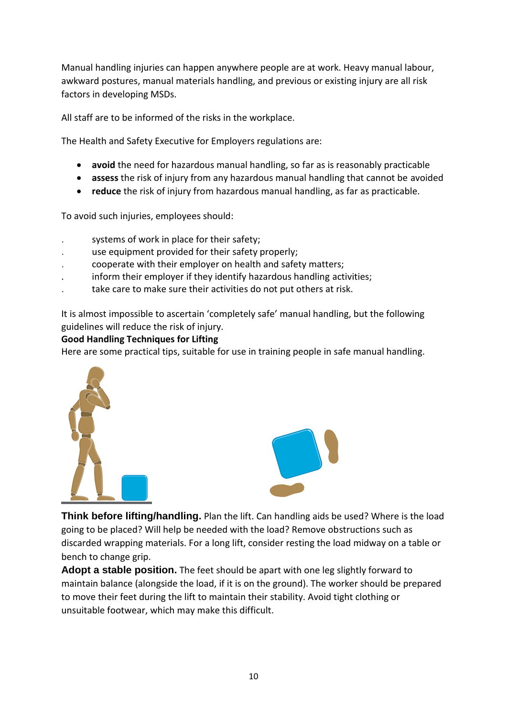Manual handling injuries can happen anywhere people are at work. Heavy manual labour, awkward postures, manual materials handling, and previous or existing injury are all risk factors in developing MSDs.

All staff are to be informed of the risks in the workplace.

The Health and Safety Executive for Employers regulations are:

- **avoid** the need for hazardous manual handling, so far as is reasonably practicable
- **assess** the risk of injury from any hazardous manual handling that cannot be avoided
- **reduce** the risk of injury from hazardous manual handling, as far as practicable.

To avoid such injuries, employees should:

- systems of work in place for their safety;
- . use equipment provided for their safety properly;
- . cooperate with their employer on health and safety matters;
- . inform their employer if they identify hazardous handling activities;
- take care to make sure their activities do not put others at risk.

It is almost impossible to ascertain 'completely safe' manual handling, but the following guidelines will reduce the risk of injury.

#### **Good Handling Techniques for Lifting**

Here are some practical tips, suitable for use in training people in safe manual handling.





**Think before lifting/handling.** Plan the lift. Can handling aids be used? Where is the load going to be placed? Will help be needed with the load? Remove obstructions such as discarded wrapping materials. For a long lift, consider resting the load midway on a table or bench to change grip.

**Adopt a stable position.** The feet should be apart with one leg slightly forward to maintain balance (alongside the load, if it is on the ground). The worker should be prepared to move their feet during the lift to maintain their stability. Avoid tight clothing or unsuitable footwear, which may make this difficult.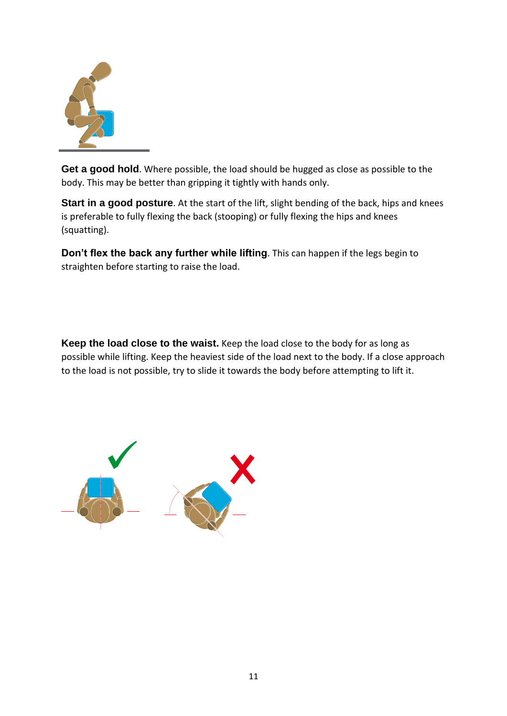

**Get a good hold**. Where possible, the load should be hugged as close as possible to the body. This may be better than gripping it tightly with hands only.

**Start in a good posture**. At the start of the lift, slight bending of the back, hips and knees is preferable to fully flexing the back (stooping) or fully flexing the hips and knees (squatting).

**Don't flex the back any further while lifting**. This can happen if the legs begin to straighten before starting to raise the load.

**Keep the load close to the waist.** Keep the load close to the body for as long as possible while lifting. Keep the heaviest side of the load next to the body. If a close approach to the load is not possible, try to slide it towards the body before attempting to lift it.

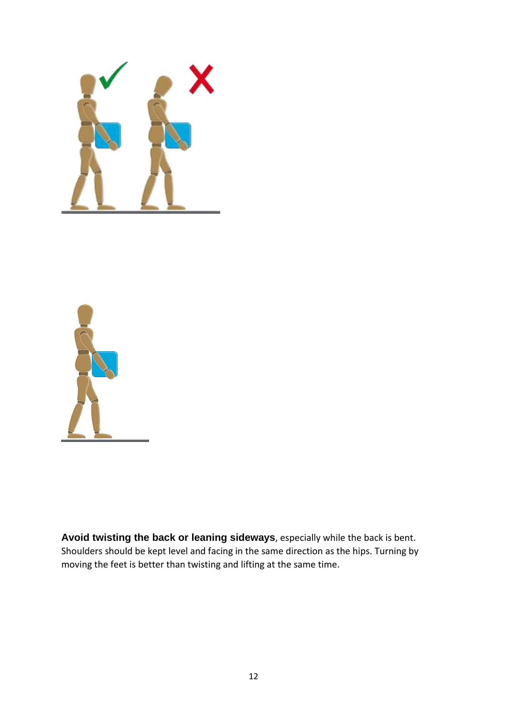



**Avoid twisting the back or leaning sideways**, especially while the back is bent. Shoulders should be kept level and facing in the same direction as the hips. Turning by moving the feet is better than twisting and lifting at the same time.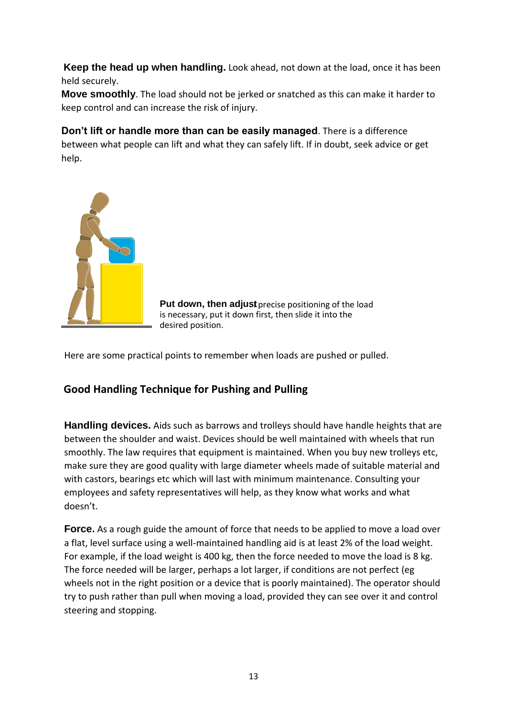**Keep the head up when handling.** Look ahead, not down at the load, once it has been held securely.

**Move smoothly**. The load should not be jerked or snatched as this can make it harder to keep control and can increase the risk of injury.

**Don't lift or handle more than can be easily managed**. There is a difference between what people can lift and what they can safely lift. If in doubt, seek advice or get help.



**Put down, then adjust** precise positioning of the load is necessary, put it down first, then slide it into the desired position.

Here are some practical points to remember when loads are pushed or pulled.

# **Good Handling Technique for Pushing and Pulling**

**Handling devices.** Aids such as barrows and trolleys should have handle heights that are between the shoulder and waist. Devices should be well maintained with wheels that run smoothly. The law requires that equipment is maintained. When you buy new trolleys etc. make sure they are good quality with large diameter wheels made of suitable material and with castors, bearings etc which will last with minimum maintenance. Consulting your employees and safety representatives will help, as they know what works and what doesn't.

**Force.** As a rough guide the amount of force that needs to be applied to move a load over a flat, level surface using a well-maintained handling aid is at least 2% of the load weight. For example, if the load weight is 400 kg, then the force needed to move the load is 8 kg. The force needed will be larger, perhaps a lot larger, if conditions are not perfect (eg wheels not in the right position or a device that is poorly maintained). The operator should try to push rather than pull when moving a load, provided they can see over it and control steering and stopping.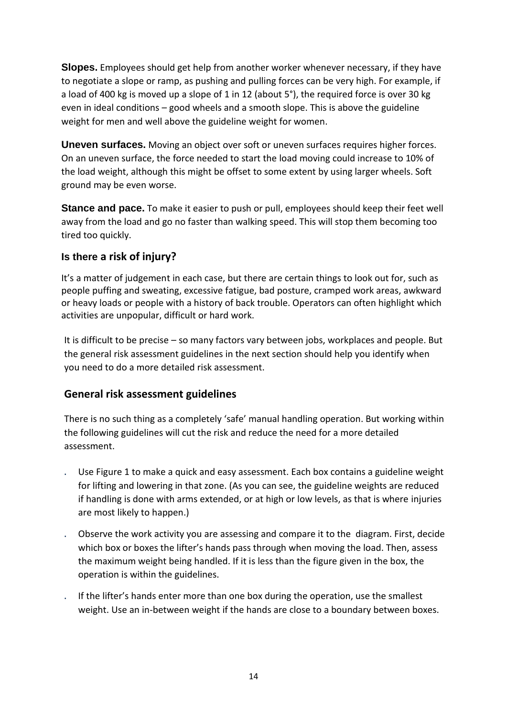**Slopes.** Employees should get help from another worker whenever necessary, if they have to negotiate a slope or ramp, as pushing and pulling forces can be very high. For example, if a load of 400 kg is moved up a slope of 1 in 12 (about 5°), the required force is over 30 kg even in ideal conditions – good wheels and a smooth slope. This is above the guideline weight for men and well above the guideline weight for women.

**Uneven surfaces.** Moving an object over soft or uneven surfaces requires higher forces. On an uneven surface, the force needed to start the load moving could increase to 10% of the load weight, although this might be offset to some extent by using larger wheels. Soft ground may be even worse.

**Stance and pace.** To make it easier to push or pull, employees should keep their feet well away from the load and go no faster than walking speed. This will stop them becoming too tired too quickly.

# **Is there a risk of injury?**

It's a matter of judgement in each case, but there are certain things to look out for, such as people puffing and sweating, excessive fatigue, bad posture, cramped work areas, awkward or heavy loads or people with a history of back trouble. Operators can often highlight which activities are unpopular, difficult or hard work.

It is difficult to be precise – so many factors vary between jobs, workplaces and people. But the general risk assessment guidelines in the next section should help you identify when you need to do a more detailed risk assessment.

# **General risk assessment guidelines**

There is no such thing as a completely 'safe' manual handling operation. But working within the following guidelines will cut the risk and reduce the need for a more detailed assessment.

- . Use Figure 1 to make a quick and easy assessment. Each box contains a guideline weight for lifting and lowering in that zone. (As you can see, the guideline weights are reduced if handling is done with arms extended, or at high or low levels, as that is where injuries are most likely to happen.)
- . Observe the work activity you are assessing and compare it to the diagram. First, decide which box or boxes the lifter's hands pass through when moving the load. Then, assess the maximum weight being handled. If it is less than the figure given in the box, the operation is within the guidelines.
- . If the lifter's hands enter more than one box during the operation, use the smallest weight. Use an in-between weight if the hands are close to a boundary between boxes.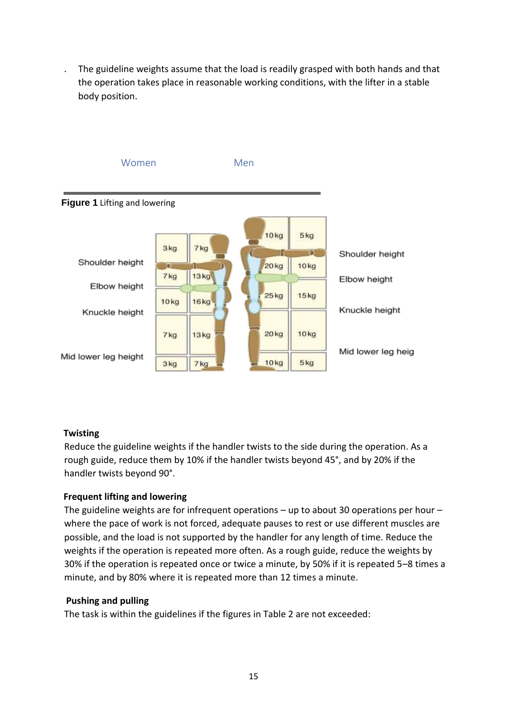. The guideline weights assume that the load is readily grasped with both hands and that the operation takes place in reasonable working conditions, with the lifter in a stable body position.



#### **Twisting**

Reduce the guideline weights if the handler twists to the side during the operation. As a rough guide, reduce them by 10% if the handler twists beyond 45°, and by 20% if the handler twists beyond 90°.

#### **Frequent lifting and lowering**

The guideline weights are for infrequent operations  $-$  up to about 30 operations per hour  $$ where the pace of work is not forced, adequate pauses to rest or use different muscles are possible, and the load is not supported by the handler for any length of time. Reduce the weights if the operation is repeated more often. As a rough guide, reduce the weights by 30% if the operation is repeated once or twice a minute, by 50% if it is repeated 5–8 times a minute, and by 80% where it is repeated more than 12 times a minute.

#### **Pushing and pulling**

The task is within the guidelines if the figures in Table 2 are not exceeded: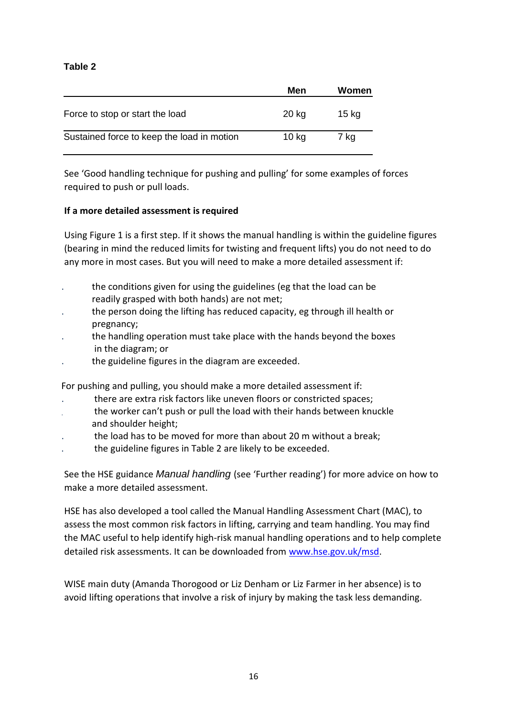#### **Table 2**

|                                            | Men              | Women |
|--------------------------------------------|------------------|-------|
| Force to stop or start the load            | 20 kg            | 15 kg |
| Sustained force to keep the load in motion | 10 <sub>kg</sub> | 7 kg  |

See 'Good handling technique for pushing and pulling' for some examples of forces required to push or pull loads.

#### **If a more detailed assessment is required**

Using Figure 1 is a first step. If it shows the manual handling is within the guideline figures (bearing in mind the reduced limits for twisting and frequent lifts) you do not need to do any more in most cases. But you will need to make a more detailed assessment if:

- . the conditions given for using the guidelines (eg that the load can be readily grasped with both hands) are not met;
- . the person doing the lifting has reduced capacity, eg through ill health or pregnancy;
- . the handling operation must take place with the hands beyond the boxes in the diagram; or
- . the guideline figures in the diagram are exceeded.

For pushing and pulling, you should make a more detailed assessment if:

- . there are extra risk factors like uneven floors or constricted spaces;
- . the worker can't push or pull the load with their hands between knuckle and shoulder height;
- . the load has to be moved for more than about 20 m without a break;
- . the guideline figures in Table 2 are likely to be exceeded.

See the HSE guidance *Manual handling* (see 'Further reading') for more advice on how to make a more detailed assessment.

HSE has also developed a tool called the Manual Handling Assessment Chart (MAC), to assess the most common risk factors in lifting, carrying and team handling. You may find the MAC useful to help identify high-risk manual handling operations and to help complete detailed risk assessments. It can be downloaded from [www.hse.gov.uk/msd.](http://www.hse.gov.uk/msd)

WISE main duty (Amanda Thorogood or Liz Denham or Liz Farmer in her absence) is to avoid lifting operations that involve a risk of injury by making the task less demanding.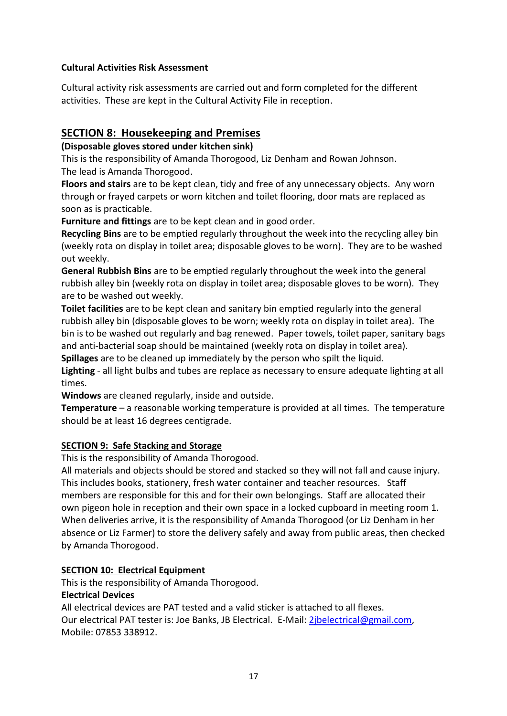#### **Cultural Activities Risk Assessment**

Cultural activity risk assessments are carried out and form completed for the different activities. These are kept in the Cultural Activity File in reception.

# **SECTION 8: Housekeeping and Premises**

#### **(Disposable gloves stored under kitchen sink)**

This is the responsibility of Amanda Thorogood, Liz Denham and Rowan Johnson. The lead is Amanda Thorogood.

**Floors and stairs** are to be kept clean, tidy and free of any unnecessary objects. Any worn through or frayed carpets or worn kitchen and toilet flooring, door mats are replaced as soon as is practicable.

**Furniture and fittings** are to be kept clean and in good order.

**Recycling Bins** are to be emptied regularly throughout the week into the recycling alley bin (weekly rota on display in toilet area; disposable gloves to be worn). They are to be washed out weekly.

**General Rubbish Bins** are to be emptied regularly throughout the week into the general rubbish alley bin (weekly rota on display in toilet area; disposable gloves to be worn). They are to be washed out weekly.

**Toilet facilities** are to be kept clean and sanitary bin emptied regularly into the general rubbish alley bin (disposable gloves to be worn; weekly rota on display in toilet area). The bin is to be washed out regularly and bag renewed. Paper towels, toilet paper, sanitary bags and anti-bacterial soap should be maintained (weekly rota on display in toilet area). **Spillages** are to be cleaned up immediately by the person who spilt the liquid.

**Lighting** - all light bulbs and tubes are replace as necessary to ensure adequate lighting at all times.

**Windows** are cleaned regularly, inside and outside.

**Temperature** – a reasonable working temperature is provided at all times. The temperature should be at least 16 degrees centigrade.

#### **SECTION 9: Safe Stacking and Storage**

This is the responsibility of Amanda Thorogood.

All materials and objects should be stored and stacked so they will not fall and cause injury. This includes books, stationery, fresh water container and teacher resources. Staff members are responsible for this and for their own belongings. Staff are allocated their own pigeon hole in reception and their own space in a locked cupboard in meeting room 1. When deliveries arrive, it is the responsibility of Amanda Thorogood (or Liz Denham in her absence or Liz Farmer) to store the delivery safely and away from public areas, then checked by Amanda Thorogood.

#### **SECTION 10: Electrical Equipment**

This is the responsibility of Amanda Thorogood.

#### **Electrical Devices**

All electrical devices are PAT tested and a valid sticker is attached to all flexes. Our electrical PAT tester is: Joe Banks, JB Electrical. E-Mail: [2jbelectrical@gmail.com,](mailto:2jbelectrical@gmail.com) Mobile: 07853 338912.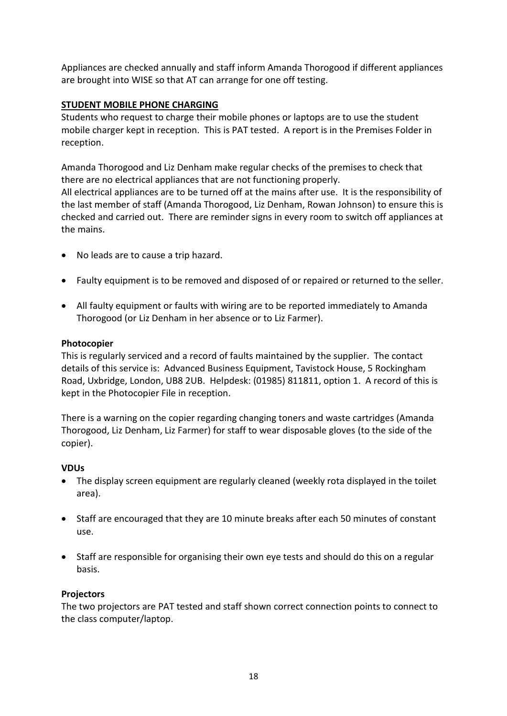Appliances are checked annually and staff inform Amanda Thorogood if different appliances are brought into WISE so that AT can arrange for one off testing.

#### **STUDENT MOBILE PHONE CHARGING**

Students who request to charge their mobile phones or laptops are to use the student mobile charger kept in reception. This is PAT tested. A report is in the Premises Folder in reception.

Amanda Thorogood and Liz Denham make regular checks of the premises to check that there are no electrical appliances that are not functioning properly. All electrical appliances are to be turned off at the mains after use. It is the responsibility of the last member of staff (Amanda Thorogood, Liz Denham, Rowan Johnson) to ensure this is checked and carried out. There are reminder signs in every room to switch off appliances at the mains.

- No leads are to cause a trip hazard.
- Faulty equipment is to be removed and disposed of or repaired or returned to the seller.
- All faulty equipment or faults with wiring are to be reported immediately to Amanda Thorogood (or Liz Denham in her absence or to Liz Farmer).

#### **Photocopier**

This is regularly serviced and a record of faults maintained by the supplier. The contact details of this service is: Advanced Business Equipment, Tavistock House, 5 Rockingham Road, Uxbridge, London, UB8 2UB. Helpdesk: (01985) 811811, option 1. A record of this is kept in the Photocopier File in reception.

There is a warning on the copier regarding changing toners and waste cartridges (Amanda Thorogood, Liz Denham, Liz Farmer) for staff to wear disposable gloves (to the side of the copier).

#### **VDUs**

- The display screen equipment are regularly cleaned (weekly rota displayed in the toilet area).
- Staff are encouraged that they are 10 minute breaks after each 50 minutes of constant use.
- Staff are responsible for organising their own eye tests and should do this on a regular basis.

#### **Projectors**

The two projectors are PAT tested and staff shown correct connection points to connect to the class computer/laptop.